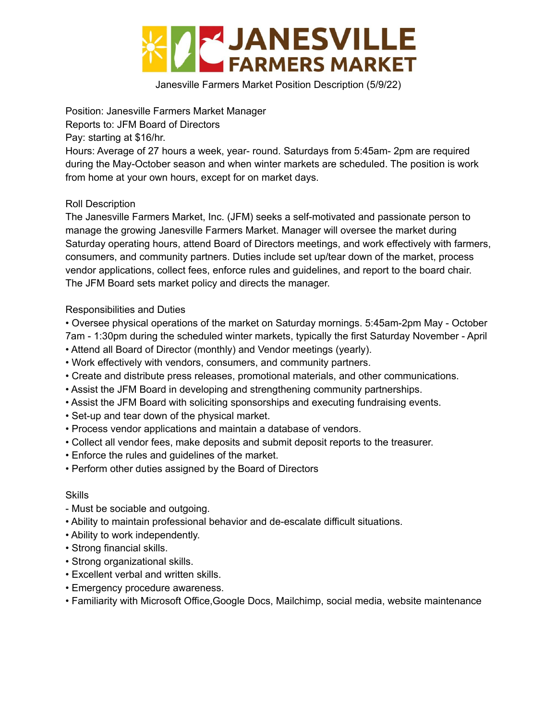

Janesville Farmers Market Position Description (5/9/22)

Position: Janesville Farmers Market Manager

Reports to: JFM Board of Directors

Pay: starting at \$16/hr.

Hours: Average of 27 hours a week, year- round. Saturdays from 5:45am- 2pm are required during the May-October season and when winter markets are scheduled. The position is work from home at your own hours, except for on market days.

### Roll Description

The Janesville Farmers Market, Inc. (JFM) seeks a self-motivated and passionate person to manage the growing Janesville Farmers Market. Manager will oversee the market during Saturday operating hours, attend Board of Directors meetings, and work effectively with farmers, consumers, and community partners. Duties include set up/tear down of the market, process vendor applications, collect fees, enforce rules and guidelines, and report to the board chair. The JFM Board sets market policy and directs the manager.

### Responsibilities and Duties

- Oversee physical operations of the market on Saturday mornings. 5:45am-2pm May October 7am - 1:30pm during the scheduled winter markets, typically the first Saturday November - April
- Attend all Board of Director (monthly) and Vendor meetings (yearly).
- Work effectively with vendors, consumers, and community partners.
- Create and distribute press releases, promotional materials, and other communications.
- Assist the JFM Board in developing and strengthening community partnerships.
- Assist the JFM Board with soliciting sponsorships and executing fundraising events.
- Set-up and tear down of the physical market.
- Process vendor applications and maintain a database of vendors.
- Collect all vendor fees, make deposits and submit deposit reports to the treasurer.
- Enforce the rules and guidelines of the market.
- Perform other duties assigned by the Board of Directors

#### Skills

- Must be sociable and outgoing.
- Ability to maintain professional behavior and de-escalate difficult situations.
- Ability to work independently.
- Strong financial skills.
- Strong organizational skills.
- Excellent verbal and written skills.
- Emergency procedure awareness.
- Familiarity with Microsoft Office,Google Docs, Mailchimp, social media, website maintenance